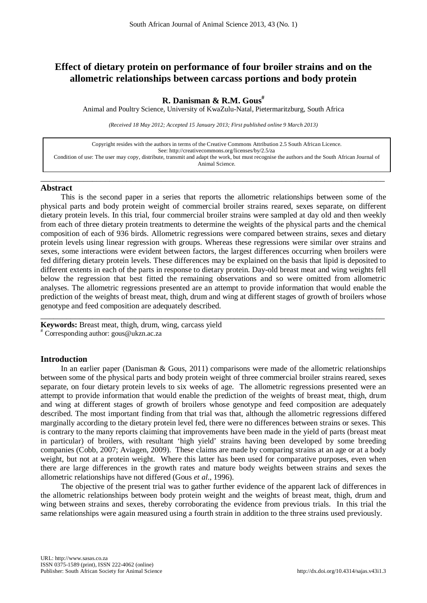# **Effect of dietary protein on performance of four broiler strains and on the allometric relationships between carcass portions and body protein**

## **R. Danisman & R.M. Gous#**

Animal and Poultry Science, University of KwaZulu-Natal, Pietermaritzburg, South Africa

*(Received 18 May 2012; Accepted 15 January 2013; First published online 9 March 2013)*

Copyright resides with the authors in terms of the Creative Commons Attribution 2.5 South African Licence. See[: http://creativecommons.org/licenses/by/2.5/za](http://creativecommons.org/licenses/by/2.5/za) Condition of use: The user may copy, distribute, transmit and adapt the work, but must recognise the authors and the South African Journal of Animal Science.

\_\_\_\_\_\_\_\_\_\_\_\_\_\_\_\_\_\_\_\_\_\_\_\_\_\_\_\_\_\_\_\_\_\_\_\_\_\_\_\_\_\_\_\_\_\_\_\_\_\_\_\_\_\_\_\_\_\_\_\_\_\_\_\_\_\_\_\_\_\_\_\_\_\_\_\_\_\_\_\_

### **Abstract**

This is the second paper in a series that reports the allometric relationships between some of the physical parts and body protein weight of commercial broiler strains reared, sexes separate, on different dietary protein levels. In this trial, four commercial broiler strains were sampled at day old and then weekly from each of three dietary protein treatments to determine the weights of the physical parts and the chemical composition of each of 936 birds. Allometric regressions were compared between strains, sexes and dietary protein levels using linear regression with groups. Whereas these regressions were similar over strains and sexes, some interactions were evident between factors, the largest differences occurring when broilers were fed differing dietary protein levels. These differences may be explained on the basis that lipid is deposited to different extents in each of the parts in response to dietary protein. Day-old breast meat and wing weights fell below the regression that best fitted the remaining observations and so were omitted from allometric analyses. The allometric regressions presented are an attempt to provide information that would enable the prediction of the weights of breast meat, thigh, drum and wing at different stages of growth of broilers whose genotype and feed composition are adequately described.

\_\_\_\_\_\_\_\_\_\_\_\_\_\_\_\_\_\_\_\_\_\_\_\_\_\_\_\_\_\_\_\_\_\_\_\_\_\_\_\_\_\_\_\_\_\_\_\_\_\_\_\_\_\_\_\_\_\_\_\_\_\_\_\_\_\_\_\_\_\_\_\_\_\_\_\_\_\_\_\_

**Keywords:** Breast meat, thigh, drum, wing, carcass yield # Corresponding author: [gous@ukzn.ac.za](mailto:gous@ukzn.ac.za)

## **Introduction**

In an earlier paper (Danisman & Gous, 2011) comparisons were made of the allometric relationships between some of the physical parts and body protein weight of three commercial broiler strains reared, sexes separate, on four dietary protein levels to six weeks of age. The allometric regressions presented were an attempt to provide information that would enable the prediction of the weights of breast meat, thigh, drum and wing at different stages of growth of broilers whose genotype and feed composition are adequately described. The most important finding from that trial was that, although the allometric regressions differed marginally according to the dietary protein level fed, there were no differences between strains or sexes. This is contrary to the many reports claiming that improvements have been made in the yield of parts (breast meat in particular) of broilers, with resultant 'high yield' strains having been developed by some breeding companies (Cobb, 2007; Aviagen, 2009). These claims are made by comparing strains at an age or at a body weight, but not at a protein weight. Where this latter has been used for comparative purposes, even when there are large differences in the growth rates and mature body weights between strains and sexes the allometric relationships have not differed (Gous *et al*., 1996).

The objective of the present trial was to gather further evidence of the apparent lack of differences in the allometric relationships between body protein weight and the weights of breast meat, thigh, drum and wing between strains and sexes, thereby corroborating the evidence from previous trials. In this trial the same relationships were again measured using a fourth strain in addition to the three strains used previously.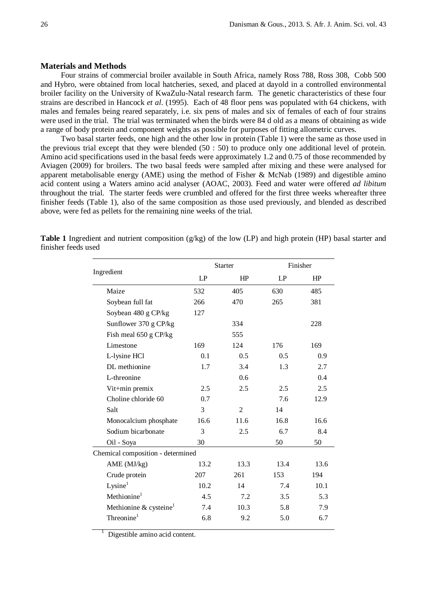## **Materials and Methods**

Four strains of commercial broiler available in South Africa, namely Ross 788, Ross 308, Cobb 500 and Hybro, were obtained from local hatcheries, sexed, and placed at dayold in a controlled environmental broiler facility on the University of KwaZulu-Natal research farm. The genetic characteristics of these four strains are described in Hancock *et al*. (1995). Each of 48 floor pens was populated with 64 chickens, with males and females being reared separately, i.e. six pens of males and six of females of each of four strains were used in the trial. The trial was terminated when the birds were 84 d old as a means of obtaining as wide a range of body protein and component weights as possible for purposes of fitting allometric curves.

Two basal starter feeds, one high and the other low in protein (Table 1) were the same as those used in the previous trial except that they were blended (50 : 50) to produce only one additional level of protein. Amino acid specifications used in the basal feeds were approximately 1.2 and 0.75 of those recommended by Aviagen (2009) for broilers. The two basal feeds were sampled after mixing and these were analysed for apparent metabolisable energy (AME) using the method of Fisher & McNab (1989) and digestible amino acid content using a Waters amino acid analyser (AOAC, 2003). Feed and water were offered *ad libitum*  throughout the trial. The starter feeds were crumbled and offered for the first three weeks whereafter three finisher feeds (Table 1), also of the same composition as those used previously, and blended as described above, were fed as pellets for the remaining nine weeks of the trial.

|                                    |      | <b>Starter</b> | Finisher |      |  |  |  |
|------------------------------------|------|----------------|----------|------|--|--|--|
| Ingredient                         | LP   | HP             | LP       | HP   |  |  |  |
| Maize                              | 532  | 405            | 630      | 485  |  |  |  |
| Soybean full fat                   | 266  | 470            | 265      | 381  |  |  |  |
| Soybean 480 g CP/kg                | 127  |                |          |      |  |  |  |
| Sunflower 370 g CP/kg              |      | 334            |          | 228  |  |  |  |
| Fish meal 650 g CP/kg              |      | 555            |          |      |  |  |  |
| Limestone                          | 169  | 124            | 176      | 169  |  |  |  |
| L-lysine HCl                       | 0.1  | 0.5            | 0.5      | 0.9  |  |  |  |
| DL methionine                      | 1.7  | 3.4            | 1.3      | 2.7  |  |  |  |
| L-threonine                        |      | 0.6            |          | 0.4  |  |  |  |
| Vit+min premix                     | 2.5  | 2.5            | 2.5      | 2.5  |  |  |  |
| Choline chloride 60                | 0.7  |                | 7.6      | 12.9 |  |  |  |
| Salt                               | 3    | $\overline{2}$ | 14       |      |  |  |  |
| Monocalcium phosphate              | 16.6 | 11.6           | 16.8     | 16.6 |  |  |  |
| Sodium bicarbonate                 | 3    | 2.5            | 6.7      | 8.4  |  |  |  |
| Oil - Soya                         | 30   |                | 50       | 50   |  |  |  |
| Chemical composition - determined  |      |                |          |      |  |  |  |
| AME (MJ/kg)                        | 13.2 | 13.3           | 13.4     | 13.6 |  |  |  |
| Crude protein                      | 207  | 261            | 153      | 194  |  |  |  |
| Lysine <sup>1</sup>                | 10.2 | 14             | 7.4      | 10.1 |  |  |  |
| $Methoded$ <sup>1</sup>            | 4.5  | 7.2            | 3.5      | 5.3  |  |  |  |
| Methionine & cysteine <sup>1</sup> | 7.4  | 10.3           | 5.8      | 7.9  |  |  |  |
| Threonine $1$                      | 6.8  | 9.2            | 5.0      | 6.7  |  |  |  |

**Table 1** Ingredient and nutrient composition (g/kg) of the low (LP) and high protein (HP) basal starter and finisher feeds used

> 1 Digestible amino acid content.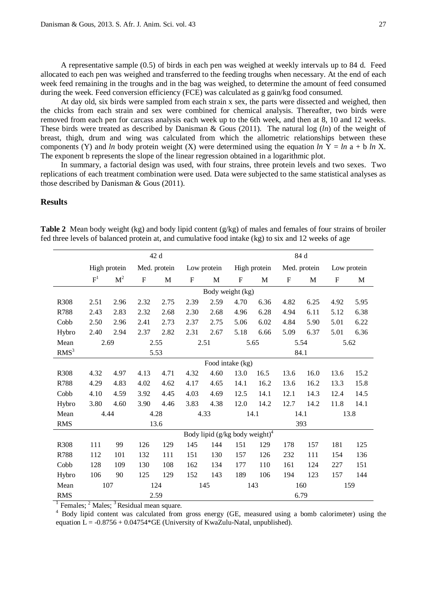A representative sample (0.5) of birds in each pen was weighed at weekly intervals up to 84 d. Feed allocated to each pen was weighed and transferred to the feeding troughs when necessary. At the end of each week feed remaining in the troughs and in the bag was weighed, to determine the amount of feed consumed during the week. Feed conversion efficiency (FCE) was calculated as g gain/kg food consumed.

At day old, six birds were sampled from each strain x sex, the parts were dissected and weighed, then the chicks from each strain and sex were combined for chemical analysis. Thereafter, two birds were removed from each pen for carcass analysis each week up to the 6th week, and then at 8, 10 and 12 weeks. These birds were treated as described by Danisman & Gous (2011). The natural log (*ln*) of the weight of breast, thigh, drum and wing was calculated from which the allometric relationships between these components (Y) and *ln* body protein weight (X) were determined using the equation *ln*  $Y = ln a + b ln X$ . The exponent b represents the slope of the linear regression obtained in a logarithmic plot.

In summary, a factorial design was used, with four strains, three protein levels and two sexes. Two replications of each treatment combination were used. Data were subjected to the same statistical analyses as those described by Danisman & Gous (2011).

## **Results**

|                  |            |                |           | 42 d         |             |                                            | 84 d             |              |                           |              |                           |      |  |  |
|------------------|------------|----------------|-----------|--------------|-------------|--------------------------------------------|------------------|--------------|---------------------------|--------------|---------------------------|------|--|--|
|                  |            | High protein   |           | Med. protein |             | Low protein                                |                  | High protein |                           | Med. protein | Low protein               |      |  |  |
|                  | $F^1$      | M <sup>2</sup> | ${\bf F}$ | $\mathbf M$  | $\mathbf F$ | M                                          | $\mathbf F$      | $\mathbf M$  | $\boldsymbol{\mathrm{F}}$ | M            | $\boldsymbol{\mathrm{F}}$ | M    |  |  |
|                  |            |                |           |              |             | Body weight (kg)                           |                  |              |                           |              |                           |      |  |  |
| R308             | 2.51       | 2.96           | 2.32      | 2.75         | 2.39        | 2.59                                       | 4.70             | 6.36         | 4.82                      | 6.25         | 4.92                      | 5.95 |  |  |
| R788             | 2.43       | 2.83           | 2.32      | 2.68         | 2.30        | 2.68                                       | 4.96             | 6.28         | 4.94                      | 6.11         | 5.12                      | 6.38 |  |  |
| Cobb             | 2.50       | 2.96           | 2.41      | 2.73         | 2.37        | 2.75                                       | 5.06             | 6.02         | 4.84                      | 5.90         | 5.01                      | 6.22 |  |  |
| Hybro            | 2.40       | 2.94           | 2.37      | 2.82         | 2.31        | 2.67                                       | 5.18             | 6.66         | 5.09                      | 6.37         | 5.01                      | 6.36 |  |  |
| Mean             |            | 2.69           |           | 2.55         |             | 2.51                                       |                  | 5.65         |                           | 5.54         |                           | 5.62 |  |  |
| RMS <sup>3</sup> |            |                |           | 5.53         |             |                                            |                  |              | 84.1                      |              |                           |      |  |  |
|                  |            |                |           |              |             |                                            | Food intake (kg) |              |                           |              |                           |      |  |  |
| R308             | 4.32       | 4.97           | 4.13      | 4.71         | 4.32        | 4.60                                       | 13.0             | 16.5         | 13.6                      | 16.0         | 13.6                      | 15.2 |  |  |
| R788             | 4.29       | 4.83           | 4.02      | 4.62         | 4.17        | 4.65                                       | 14.1             | 16.2         | 13.6                      | 16.2         | 13.3                      | 15.8 |  |  |
| Cobb             | 4.10       | 4.59           | 3.92      | 4.45         | 4.03        | 4.69                                       | 12.5             | 14.1         | 12.1                      | 14.3         | 12.4                      | 14.5 |  |  |
| Hybro            | 3.80       | 4.60           | 3.90      | 4.46         | 3.83        | 4.38                                       | 12.0             | 14.2         | 12.7                      | 14.2         | 11.8                      | 14.1 |  |  |
| Mean             |            | 4.44           |           | 4.28         |             | 4.33                                       |                  | 14.1         | 14.1                      |              |                           | 13.8 |  |  |
| <b>RMS</b>       |            |                |           | 13.6         |             |                                            |                  |              |                           | 393          |                           |      |  |  |
|                  |            |                |           |              |             | Body lipid (g/kg body weight) <sup>4</sup> |                  |              |                           |              |                           |      |  |  |
| R308             | 111        | 99             | 126       | 129          | 145         | 144                                        | 151              | 129          | 178                       | 157          | 181                       | 125  |  |  |
| R788             | 112        | 101            | 132       | 111          | 151         | 130                                        | 157              | 126          | 232                       | 111          | 154                       | 136  |  |  |
| Cobb             | 128        | 109            | 130       | 108          | 162         | 134                                        | 177              | 110          | 161                       | 124          | 227                       | 151  |  |  |
| Hybro            | 106        | 90             | 125       | 129          | 152         | 143                                        | 189              | 106          | 194                       | 123          | 157                       | 144  |  |  |
| Mean             | 107<br>124 |                |           |              | 145         | 160<br>143<br>159                          |                  |              |                           |              |                           |      |  |  |
| <b>RMS</b>       |            |                |           | 2.59         |             |                                            | 6.79             |              |                           |              |                           |      |  |  |

**Table 2** Mean body weight (kg) and body lipid content (g/kg) of males and females of four strains of broiler fed three levels of balanced protein at, and cumulative food intake (kg) to six and 12 weeks of age

 $\frac{1}{1}$  Females;  $\frac{2}{1}$  Males;  $\frac{3}{1}$  Residual mean square.

<sup>4</sup> Body lipid content was calculated from gross energy (GE, measured using a bomb calorimeter) using the equation  $L = -0.8756 + 0.04754*GE$  (University of KwaZulu-Natal, unpublished).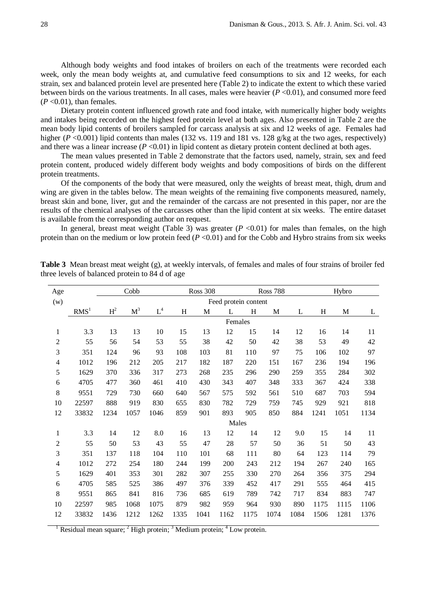Although body weights and food intakes of broilers on each of the treatments were recorded each week, only the mean body weights at, and cumulative feed consumptions to six and 12 weeks, for each strain, sex and balanced protein level are presented here (Table 2) to indicate the extent to which these varied between birds on the various treatments. In all cases, males were heavier (*P* <0.01), and consumed more feed  $(P<0.01)$ , than females.

Dietary protein content influenced growth rate and food intake, with numerically higher body weights and intakes being recorded on the highest feed protein level at both ages. Also presented in Table 2 are the mean body lipid contents of broilers sampled for carcass analysis at six and 12 weeks of age. Females had higher (*P* <0.001) lipid contents than males (132 vs. 119 and 181 vs. 128 g/kg at the two ages, respectively) and there was a linear increase  $(P < 0.01)$  in lipid content as dietary protein content declined at both ages.

The mean values presented in Table 2 demonstrate that the factors used, namely, strain, sex and feed protein content, produced widely different body weights and body compositions of birds on the different protein treatments.

Of the components of the body that were measured, only the weights of breast meat, thigh, drum and wing are given in the tables below. The mean weights of the remaining five components measured, namely, breast skin and bone, liver, gut and the remainder of the carcass are not presented in this paper, nor are the results of the chemical analyses of the carcasses other than the lipid content at six weeks. The entire dataset is available from the corresponding author on request.

In general, breast meat weight (Table 3) was greater  $(P \le 0.01)$  for males than females, on the high protein than on the medium or low protein feed  $(P \le 0.01)$  and for the Cobb and Hybro strains from six weeks

| Age            |                  |                | Cobb           |                      |      | <b>Ross 308</b> |                      |      | <b>Ross 788</b> |      |      | Hybro |      |  |
|----------------|------------------|----------------|----------------|----------------------|------|-----------------|----------------------|------|-----------------|------|------|-------|------|--|
| (w)            |                  |                |                |                      |      |                 | Feed protein content |      |                 |      |      |       |      |  |
|                | RMS <sup>1</sup> | H <sup>2</sup> | M <sup>3</sup> | $\operatorname{L}^4$ | H    | M               | L                    | H    | M               | L    | H    | M     | L    |  |
|                |                  |                |                |                      |      |                 | Females              |      |                 |      |      |       |      |  |
| $\mathbf{1}$   | 3.3              | 13             | 13             | 10                   | 15   | 13              | 12                   | 15   | 14              | 12   | 16   | 14    | 11   |  |
| $\overline{2}$ | 55               | 56             | 54             | 53                   | 55   | 38              | 42                   | 50   | 42              | 38   | 53   | 49    | 42   |  |
| 3              | 351              | 124            | 96             | 93                   | 108  | 103             | 81                   | 110  | 97              | 75   | 106  | 102   | 97   |  |
| $\overline{4}$ | 1012             | 196            | 212            | 205                  | 217  | 182             | 187                  | 220  | 151             | 167  | 236  | 194   | 196  |  |
| 5              | 1629             | 370            | 336            | 317                  | 273  | 268             | 235                  | 296  | 290             | 259  | 355  | 284   | 302  |  |
| 6              | 4705             | 477            | 360            | 461                  | 410  | 430             | 343                  | 407  | 348             | 333  | 367  | 424   | 338  |  |
| 8              | 9551             | 729            | 730            | 660                  | 640  | 567             | 575                  | 592  | 561             | 510  | 687  | 703   | 594  |  |
| 10             | 22597            | 888            | 919            | 830                  | 655  | 830             | 782                  | 729  | 759             | 745  | 929  | 921   | 818  |  |
| 12             | 33832            | 1234           | 1057           | 1046                 | 859  | 901             | 893                  | 905  | 850             | 884  | 1241 | 1051  | 1134 |  |
|                |                  |                |                |                      |      |                 | Males                |      |                 |      |      |       |      |  |
| $\mathbf{1}$   | 3.3              | 14             | 12             | 8.0                  | 16   | 13              | 12                   | 14   | 12              | 9.0  | 15   | 14    | 11   |  |
| $\overline{2}$ | 55               | 50             | 53             | 43                   | 55   | 47              | 28                   | 57   | 50              | 36   | 51   | 50    | 43   |  |
| 3              | 351              | 137            | 118            | 104                  | 110  | 101             | 68                   | 111  | 80              | 64   | 123  | 114   | 79   |  |
| $\overline{4}$ | 1012             | 272            | 254            | 180                  | 244  | 199             | 200                  | 243  | 212             | 194  | 267  | 240   | 165  |  |
| 5              | 1629             | 401            | 353            | 301                  | 282  | 307             | 255                  | 330  | 270             | 264  | 356  | 375   | 294  |  |
| 6              | 4705             | 585            | 525            | 386                  | 497  | 376             | 339                  | 452  | 417             | 291  | 555  | 464   | 415  |  |
| 8              | 9551             | 865            | 841            | 816                  | 736  | 685             | 619                  | 789  | 742             | 717  | 834  | 883   | 747  |  |
| 10             | 22597            | 985            | 1068           | 1075                 | 879  | 982             | 959                  | 964  | 930             | 890  | 1175 | 1115  | 1106 |  |
| 12             | 33832            | 1436           | 1212           | 1262                 | 1335 | 1041            | 1162                 | 1175 | 1074            | 1084 | 1506 | 1281  | 1376 |  |
|                |                  |                |                |                      |      |                 |                      |      |                 |      |      |       |      |  |

**Table 3** Mean breast meat weight (g), at weekly intervals, of females and males of four strains of broiler fed three levels of balanced protein to 84 d of age

Residual mean square; <sup>2</sup> High protein; <sup>3</sup> Medium protein; <sup>4</sup> Low protein.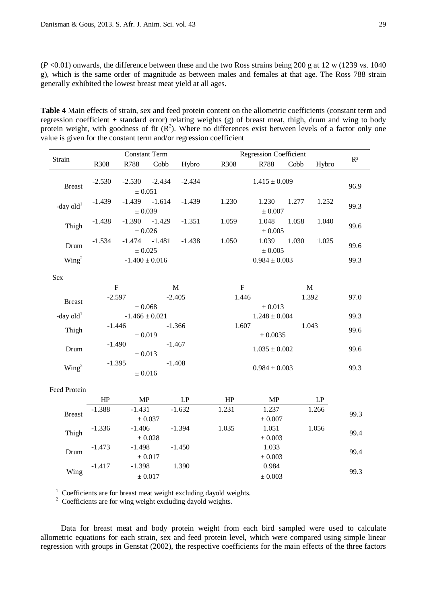$(P<0.01)$  onwards, the difference between these and the two Ross strains being 200 g at 12 w (1239 vs. 1040) g), which is the same order of magnitude as between males and females at that age. The Ross 788 strain generally exhibited the lowest breast meat yield at all ages.

**Table 4** Main effects of strain, sex and feed protein content on the allometric coefficients (constant term and regression coefficient  $\pm$  standard error) relating weights (g) of breast meat, thigh, drum and wing to body protein weight, with goodness of fit  $(R^2)$ . Where no differences exist between levels of a factor only one value is given for the constant term and/or regression coefficient

|                       |             | <b>Constant Term</b>               |          |          |           | <b>Regression Coefficient</b>   |       |             |       |  |  |
|-----------------------|-------------|------------------------------------|----------|----------|-----------|---------------------------------|-------|-------------|-------|--|--|
| Strain                | R308        | R788                               | Cobb     | Hybro    | R308      | R788                            | Cobb  | Hybro       | $R^2$ |  |  |
| <b>Breast</b>         | $-2.530$    | $-2.530$                           | $-2.434$ | $-2.434$ |           | $1.415 \pm 0.009$               |       |             | 96.9  |  |  |
| -day $old1$           | $-1.439$    | $\pm$ 0.051<br>$-1.439$<br>± 0.039 | $-1.614$ | $-1.439$ | 1.230     | 1.230                           | 1.277 | 1.252       | 99.3  |  |  |
| Thigh                 | $-1.438$    | $-1.390$<br>$\pm$ 0.026            | $-1.429$ | $-1.351$ | 1.059     | ± 0.007<br>1.048<br>$\pm$ 0.005 | 1.058 | 1.040       | 99.6  |  |  |
| Drum                  | $-1.534$    | $-1.474 - 1.481$<br>$\pm$ 0.025    |          | $-1.438$ | 1.050     | 1.039<br>$\pm$ 0.005            | 1.030 | 1.025       | 99.6  |  |  |
| Wing <sup>2</sup>     |             | $-1.400 \pm 0.016$                 |          |          |           | $0.984 \pm 0.003$               |       |             | 99.3  |  |  |
| Sex                   |             |                                    |          |          |           |                                 |       |             |       |  |  |
|                       | $\mathbf F$ |                                    |          | M        | ${\bf F}$ |                                 |       | $\mathbf M$ |       |  |  |
| <b>Breast</b>         | $-2.597$    |                                    |          | $-2.405$ | 1.446     |                                 |       | 1.392       | 97.0  |  |  |
|                       |             | $\pm 0.068$                        |          |          |           | $\pm 0.013$                     |       |             |       |  |  |
| -day old <sup>1</sup> |             | $-1.466 \pm 0.021$                 |          |          |           | $1.248\pm0.004$                 |       |             | 99.3  |  |  |
| Thigh                 | $-1.446$    |                                    |          | $-1.366$ | 1.607     |                                 |       | 1.043       | 99.6  |  |  |
|                       |             | $\pm$ 0.019                        |          |          |           | $\pm$ 0.0035                    |       |             |       |  |  |
| Drum                  | $-1.490$    |                                    |          | $-1.467$ |           | $1.035 \pm 0.002$               |       |             | 99.6  |  |  |
| Wing <sup>2</sup>     | $-1.395$    | $\pm 0.013$<br>$\pm 0.016$         |          | $-1.408$ |           | $0.984 \pm 0.003$               |       |             | 99.3  |  |  |
| Feed Protein          |             |                                    |          |          |           |                                 |       |             |       |  |  |
|                       | HP          | MP                                 |          | LP       | HP        | MP                              |       | LP          |       |  |  |
|                       | $-1.388$    | $-1.431$                           |          | $-1.632$ | 1.231     | 1.237                           |       | 1.266       |       |  |  |
| <b>Breast</b>         |             | $\pm$ 0.037                        |          |          |           | $\pm$ 0.007                     |       |             | 99.3  |  |  |
| Thigh                 | $-1.336$    | $-1.406$                           |          | $-1.394$ | 1.035     | 1.051                           |       | 1.056       | 99.4  |  |  |
|                       |             | $\pm 0.028$                        |          |          |           | $\pm 0.003$                     |       |             |       |  |  |
| Drum                  | $-1.473$    | $-1.498$                           |          | $-1.450$ |           | 1.033                           |       |             | 99.4  |  |  |
|                       | $-1.417$    | $\pm 0.017$<br>$-1.398$            |          | 1.390    |           | $\pm$ 0.003<br>0.984            |       |             |       |  |  |
| Wing                  |             | $\pm$ 0.017                        |          |          |           | $\pm\,0.003$                    |       |             | 99.3  |  |  |
|                       |             |                                    |          |          |           |                                 |       |             |       |  |  |

 $\frac{1}{2}$  Coefficients are for breast meat weight excluding dayold weights.

<sup>2</sup> Coefficients are for wing weight excluding dayold weights.

Data for breast meat and body protein weight from each bird sampled were used to calculate allometric equations for each strain, sex and feed protein level, which were compared using simple linear regression with groups in Genstat (2002), the respective coefficients for the main effects of the three factors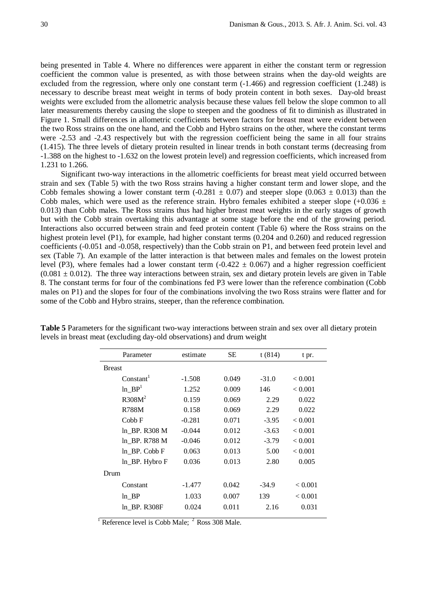being presented in Table 4. Where no differences were apparent in either the constant term or regression coefficient the common value is presented, as with those between strains when the day-old weights are excluded from the regression, where only one constant term (-1.466) and regression coefficient (1.248) is necessary to describe breast meat weight in terms of body protein content in both sexes. Day-old breast weights were excluded from the allometric analysis because these values fell below the slope common to all later measurements thereby causing the slope to steepen and the goodness of fit to diminish as illustrated in Figure 1. Small differences in allometric coefficients between factors for breast meat were evident between the two Ross strains on the one hand, and the Cobb and Hybro strains on the other, where the constant terms were -2.53 and -2.43 respectively but with the regression coefficient being the same in all four strains (1.415). The three levels of dietary protein resulted in linear trends in both constant terms (decreasing from -1.388 on the highest to -1.632 on the lowest protein level) and regression coefficients, which increased from 1.231 to 1.266.

Significant two-way interactions in the allometric coefficients for breast meat yield occurred between strain and sex (Table 5) with the two Ross strains having a higher constant term and lower slope, and the Cobb females showing a lower constant term  $(-0.281 \pm 0.07)$  and steeper slope  $(0.063 \pm 0.013)$  than the Cobb males, which were used as the reference strain. Hybro females exhibited a steeper slope  $(+0.036 \pm$ 0.013) than Cobb males. The Ross strains thus had higher breast meat weights in the early stages of growth but with the Cobb strain overtaking this advantage at some stage before the end of the growing period. Interactions also occurred between strain and feed protein content (Table 6) where the Ross strains on the highest protein level (P1), for example, had higher constant terms (0.204 and 0.260) and reduced regression coefficients (-0.051 and -0.058, respectively) than the Cobb strain on P1, and between feed protein level and sex (Table 7). An example of the latter interaction is that between males and females on the lowest protein level (P3), where females had a lower constant term  $(-0.422 \pm 0.067)$  and a higher regression coefficient  $(0.081 \pm 0.012)$ . The three way interactions between strain, sex and dietary protein levels are given in Table 8. The constant terms for four of the combinations fed P3 were lower than the reference combination (Cobb males on P1) and the slopes for four of the combinations involving the two Ross strains were flatter and for some of the Cobb and Hybro strains, steeper, than the reference combination.

| Parameter             | estimate | SЕ    | t(814)  | t pr.   |
|-----------------------|----------|-------|---------|---------|
| <b>Breast</b>         |          |       |         |         |
| Constant <sup>1</sup> | $-1.508$ | 0.049 | $-31.0$ | < 0.001 |
| $ln\_BP1$             | 1.252    | 0.009 | 146     | < 0.001 |
| R308M <sup>2</sup>    | 0.159    | 0.069 | 2.29    | 0.022   |
| <b>R788M</b>          | 0.158    | 0.069 | 2.29    | 0.022   |
| Cobb F                | $-0.281$ | 0.071 | $-3.95$ | < 0.001 |
| ln BP. R308 M         | $-0.044$ | 0.012 | $-3.63$ | < 0.001 |
| ln BP. R788 M         | $-0.046$ | 0.012 | $-3.79$ | < 0.001 |
| $ln$ BP. Cobb F       | 0.063    | 0.013 | 5.00    | < 0.001 |
| ln_BP. Hybro F        | 0.036    | 0.013 | 2.80    | 0.005   |
| Drum                  |          |       |         |         |
| Constant              | $-1.477$ | 0.042 | $-34.9$ | < 0.001 |
| $ln$ BP               | 1.033    | 0.007 | 139     | < 0.001 |
| ln BP. R308F          | 0.024    | 0.011 | 2.16    | 0.031   |
|                       |          |       |         |         |

**Table 5** Parameters for the significant two-way interactions between strain and sex over all dietary protein levels in breast meat (excluding day-old observations) and drum weight

 $\frac{1}{1}$  Reference level is Cobb Male:  $\frac{2}{1}$  Ross 308 Male.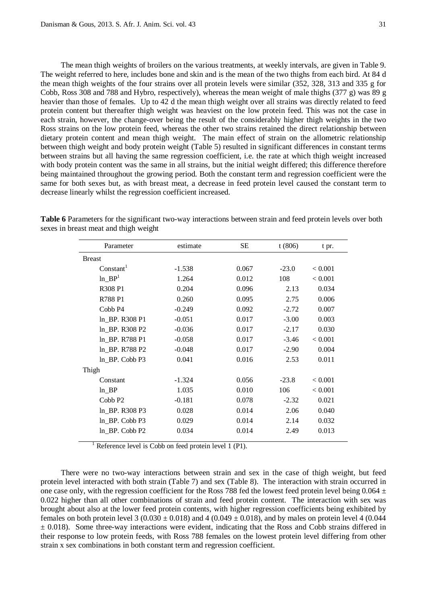The mean thigh weights of broilers on the various treatments, at weekly intervals, are given in Table 9. The weight referred to here, includes bone and skin and is the mean of the two thighs from each bird. At 84 d the mean thigh weights of the four strains over all protein levels were similar (352, 328, 313 and 335 g for Cobb, Ross 308 and 788 and Hybro, respectively), whereas the mean weight of male thighs (377 g) was 89 g heavier than those of females. Up to 42 d the mean thigh weight over all strains was directly related to feed protein content but thereafter thigh weight was heaviest on the low protein feed. This was not the case in each strain, however, the change-over being the result of the considerably higher thigh weights in the two Ross strains on the low protein feed, whereas the other two strains retained the direct relationship between dietary protein content and mean thigh weight. The main effect of strain on the allometric relationship between thigh weight and body protein weight (Table 5) resulted in significant differences in constant terms between strains but all having the same regression coefficient, i.e. the rate at which thigh weight increased with body protein content was the same in all strains, but the initial weight differed; this difference therefore being maintained throughout the growing period. Both the constant term and regression coefficient were the same for both sexes but, as with breast meat, a decrease in feed protein level caused the constant term to decrease linearly whilst the regression coefficient increased.

| Parameter             | estimate | SE    | t(806)  | t pr.   |
|-----------------------|----------|-------|---------|---------|
| <b>Breast</b>         |          |       |         |         |
| Constant <sup>1</sup> | $-1.538$ | 0.067 | $-23.0$ | < 0.001 |
| $ln\_BP1$             | 1.264    | 0.012 | 108     | < 0.001 |
| R308 P1               | 0.204    | 0.096 | 2.13    | 0.034   |
| R788 P1               | 0.260    | 0.095 | 2.75    | 0.006   |
| Cobb <sub>P4</sub>    | $-0.249$ | 0.092 | $-2.72$ | 0.007   |
| ln BP. R308 P1        | $-0.051$ | 0.017 | $-3.00$ | 0.003   |
| ln BP. R308 P2        | $-0.036$ | 0.017 | $-2.17$ | 0.030   |
| ln BP. R788 P1        | $-0.058$ | 0.017 | $-3.46$ | < 0.001 |
| ln BP. R788 P2        | $-0.048$ | 0.017 | $-2.90$ | 0.004   |
| ln BP. Cobb P3        | 0.041    | 0.016 | 2.53    | 0.011   |
| Thigh                 |          |       |         |         |
| Constant              | $-1.324$ | 0.056 | $-23.8$ | < 0.001 |
| $ln$ BP               | 1.035    | 0.010 | 106     | < 0.001 |
| Cobb <sub>P2</sub>    | $-0.181$ | 0.078 | $-2.32$ | 0.021   |
| ln BP. R308 P3        | 0.028    | 0.014 | 2.06    | 0.040   |
| ln_BP. Cobb P3        | 0.029    | 0.014 | 2.14    | 0.032   |
| $ln$ BP. Cobb P2      | 0.034    | 0.014 | 2.49    | 0.013   |

**Table 6** Parameters for the significant two-way interactions between strain and feed protein levels over both sexes in breast meat and thigh weight

Reference level is Cobb on feed protein level 1 (P1).

There were no two-way interactions between strain and sex in the case of thigh weight, but feed protein level interacted with both strain (Table 7) and sex (Table 8). The interaction with strain occurred in one case only, with the regression coefficient for the Ross 788 fed the lowest feed protein level being  $0.064 \pm$ 0.022 higher than all other combinations of strain and feed protein content. The interaction with sex was brought about also at the lower feed protein contents, with higher regression coefficients being exhibited by females on both protein level 3 (0.030  $\pm$  0.018) and 4 (0.049  $\pm$  0.018), and by males on protein level 4 (0.044  $\pm$  0.018). Some three-way interactions were evident, indicating that the Ross and Cobb strains differed in their response to low protein feeds, with Ross 788 females on the lowest protein level differing from other strain x sex combinations in both constant term and regression coefficient.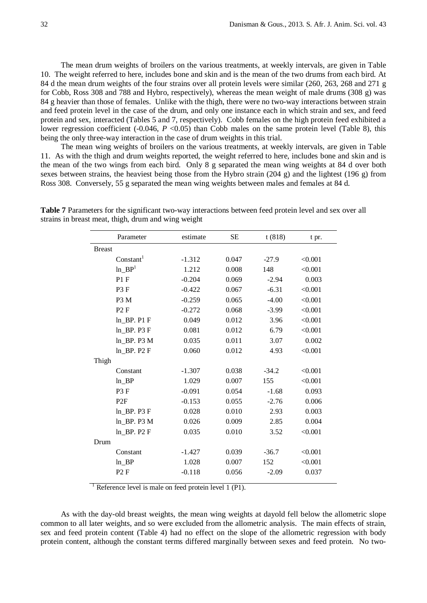The mean drum weights of broilers on the various treatments, at weekly intervals, are given in Table 10. The weight referred to here, includes bone and skin and is the mean of the two drums from each bird. At 84 d the mean drum weights of the four strains over all protein levels were similar (260, 263, 268 and 271 g for Cobb, Ross 308 and 788 and Hybro, respectively), whereas the mean weight of male drums (308 g) was 84 g heavier than those of females. Unlike with the thigh, there were no two-way interactions between strain and feed protein level in the case of the drum, and only one instance each in which strain and sex, and feed protein and sex, interacted (Tables 5 and 7, respectively). Cobb females on the high protein feed exhibited a lower regression coefficient (-0.046, *P* <0.05) than Cobb males on the same protein level (Table 8), this being the only three-way interaction in the case of drum weights in this trial.

The mean wing weights of broilers on the various treatments, at weekly intervals, are given in Table 11. As with the thigh and drum weights reported, the weight referred to here, includes bone and skin and is the mean of the two wings from each bird. Only 8 g separated the mean wing weights at 84 d over both sexes between strains, the heaviest being those from the Hybro strain (204 g) and the lightest (196 g) from Ross 308. Conversely, 55 g separated the mean wing weights between males and females at 84 d.

|               | Parameter             | estimate | <b>SE</b> | t(818)  | t pr.   |
|---------------|-----------------------|----------|-----------|---------|---------|
| <b>Breast</b> |                       |          |           |         |         |
|               | Constant <sup>1</sup> | $-1.312$ | 0.047     | $-27.9$ | < 0.001 |
|               | $ln\_BP1$             | 1.212    | 0.008     | 148     | < 0.001 |
|               | P1F                   | $-0.204$ | 0.069     | $-2.94$ | 0.003   |
|               | P <sub>3</sub> F      | $-0.422$ | 0.067     | $-6.31$ | < 0.001 |
|               | P <sub>3</sub> M      | $-0.259$ | 0.065     | $-4.00$ | < 0.001 |
|               | P2F                   | $-0.272$ | 0.068     | $-3.99$ | < 0.001 |
|               | $ln$ BP. P1 F         | 0.049    | 0.012     | 3.96    | < 0.001 |
|               | ln BP. P3 F           | 0.081    | 0.012     | 6.79    | < 0.001 |
|               | ln BP. P3 M           | 0.035    | 0.011     | 3.07    | 0.002   |
|               | $ln$ BP. $P2F$        | 0.060    | 0.012     | 4.93    | < 0.001 |
| Thigh         |                       |          |           |         |         |
|               | Constant              | $-1.307$ | 0.038     | $-34.2$ | < 0.001 |
|               | $ln$ BP               | 1.029    | 0.007     | 155     | < 0.001 |
|               | P <sub>3</sub> F      | $-0.091$ | 0.054     | $-1.68$ | 0.093   |
|               | P2F                   | $-0.153$ | 0.055     | $-2.76$ | 0.006   |
|               | $ln$ BP. P3 F         | 0.028    | 0.010     | 2.93    | 0.003   |
|               | $ln$ _BP. P3 M        | 0.026    | 0.009     | 2.85    | 0.004   |
|               | $ln$ BP. $P2F$        | 0.035    | 0.010     | 3.52    | < 0.001 |
| Drum          |                       |          |           |         |         |
|               | Constant              | $-1.427$ | 0.039     | $-36.7$ | < 0.001 |
|               | $ln$ BP               | 1.028    | 0.007     | 152     | < 0.001 |
|               | P2F                   | $-0.118$ | 0.056     | $-2.09$ | 0.037   |
|               |                       |          |           |         |         |

**Table 7** Parameters for the significant two-way interactions between feed protein level and sex over all strains in breast meat, thigh, drum and wing weight

<sup>1</sup> Reference level is male on feed protein level 1 (P1).

As with the day-old breast weights, the mean wing weights at dayold fell below the allometric slope common to all later weights, and so were excluded from the allometric analysis. The main effects of strain, sex and feed protein content (Table 4) had no effect on the slope of the allometric regression with body protein content, although the constant terms differed marginally between sexes and feed protein. No two-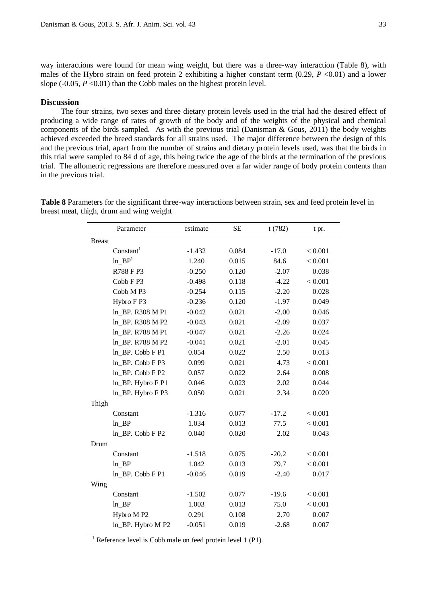way interactions were found for mean wing weight, but there was a three-way interaction (Table 8), with males of the Hybro strain on feed protein 2 exhibiting a higher constant term  $(0.29, P \le 0.01)$  and a lower slope  $(-0.05, P<0.01)$  than the Cobb males on the highest protein level.

### **Discussion**

The four strains, two sexes and three dietary protein levels used in the trial had the desired effect of producing a wide range of rates of growth of the body and of the weights of the physical and chemical components of the birds sampled. As with the previous trial (Danisman & Gous, 2011) the body weights achieved exceeded the breed standards for all strains used. The major difference between the design of this and the previous trial, apart from the number of strains and dietary protein levels used, was that the birds in this trial were sampled to 84 d of age, this being twice the age of the birds at the termination of the previous trial. The allometric regressions are therefore measured over a far wider range of body protein contents than in the previous trial.

> Parameter estimate SE t (782) t pr. Breast  $Constant<sup>1</sup>$  -1.432 0.084 -17.0 < 0.001  $\ln\_BP^1$  1.240 0.015 84.6 < 0.001 R788 F P3  $-0.250$   $0.120$   $-2.07$   $0.038$ Cobb F P3  $-0.498$   $0.118$   $-4.22$   $< 0.001$ Cobb M P3 -0.254 0.115 -2.20 0.028 Hybro F P3 -0.236 0.120 -1.97 0.049 ln\_BP. R308 M P1  $-0.042$  0.021  $-2.00$  0.046 ln BP. R308 M P2 -0.043 0.021 -2.09 0.037 ln BP. R788 M P1 -0.047 0.021 -2.26 0.024 ln\_BP. R788 M P2  $-0.041$   $0.021$   $-2.01$  0.045 ln\_BP. Cobb F P1 0.054 0.022 2.50 0.013  $ln\_BP$ . Cobb F P3 0.099 0.021 4.73  $< 0.001$ ln BP. Cobb F P2 0.057 0.022 2.64 0.008 ln\_BP. Hybro F P1 0.046 0.023 2.02 0.044 ln\_BP. Hybro F P3 0.050 0.021 2.34 0.020 Thigh Constant -1.316 0.077 -17.2 < 0.001 ln\_BP 1.034 0.013 77.5 < 0.001 ln\_BP. Cobb F P2 0.040 0.020 2.02 0.043 Drum Constant -1.518 0.075 -20.2 < 0.001  $\ln_{\text{B}} \text{BP}$  1.042 0.013 79.7 < 0.001 ln BP. Cobb F P1 -0.046 0.019 -2.40 0.017 Wing Constant -1.502 0.077 -19.6 < 0.001  $\ln_{\text{B}}$ BP 1.003 0.013 75.0 < 0.001 Hybro M P2 0.291 0.108 2.70 0.007 ln\_BP. Hybro M P2  $-0.051$  0.019  $-2.68$  0.007

**Table 8** Parameters for the significant three-way interactions between strain, sex and feed protein level in breast meat, thigh, drum and wing weight

<sup>1</sup> Reference level is Cobb male on feed protein level 1 (P1).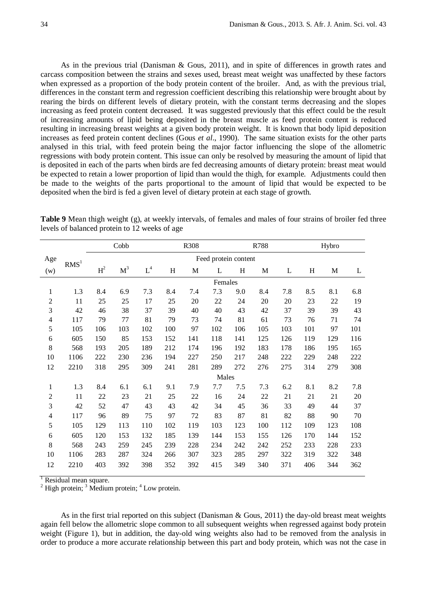As in the previous trial (Danisman & Gous, 2011), and in spite of differences in growth rates and carcass composition between the strains and sexes used, breast meat weight was unaffected by these factors when expressed as a proportion of the body protein content of the broiler. And, as with the previous trial, differences in the constant term and regression coefficient describing this relationship were brought about by rearing the birds on different levels of dietary protein, with the constant terms decreasing and the slopes increasing as feed protein content decreased. It was suggested previously that this effect could be the result of increasing amounts of lipid being deposited in the breast muscle as feed protein content is reduced resulting in increasing breast weights at a given body protein weight. It is known that body lipid deposition increases as feed protein content declines (Gous *et al*., 1990). The same situation exists for the other parts analysed in this trial, with feed protein being the major factor influencing the slope of the allometric regressions with body protein content. This issue can only be resolved by measuring the amount of lipid that is deposited in each of the parts when birds are fed decreasing amounts of dietary protein: breast meat would be expected to retain a lower proportion of lipid than would the thigh, for example. Adjustments could then be made to the weights of the parts proportional to the amount of lipid that would be expected to be deposited when the bird is fed a given level of dietary protein at each stage of growth.

|                         |                  |                | Cobb           |       |                           | R308 |                      |     |        | Hybro |     |             |     |
|-------------------------|------------------|----------------|----------------|-------|---------------------------|------|----------------------|-----|--------|-------|-----|-------------|-----|
| Age                     | $\mathbf{RMS}^1$ |                |                |       |                           |      | Feed protein content |     |        |       |     |             |     |
| (w)                     |                  | H <sup>2</sup> | M <sup>3</sup> | $L^4$ | $\boldsymbol{\mathrm{H}}$ | M    | L                    | H   | M      | L     | H   | $\mathbf M$ | L   |
|                         |                  |                |                |       |                           |      | Females              |     |        |       |     |             |     |
| $\mathbf{1}$            | 1.3              | 8.4            | 6.9            | 7.3   | 8.4                       | 7.4  | 7.3                  | 9.0 | 8.4    | 7.8   | 8.5 | 8.1         | 6.8 |
| $\overline{c}$          | 11               | 25             | 25             | 17    | 25                        | 20   | 22                   | 24  | $20\,$ | 20    | 23  | 22          | 19  |
| 3                       | 42               | 46             | 38             | 37    | 39                        | 40   | 40                   | 43  | 42     | 37    | 39  | 39          | 43  |
| $\overline{\mathbf{4}}$ | 117              | 79             | 77             | 81    | 79                        | 73   | 74                   | 81  | 61     | 73    | 76  | 71          | 74  |
| 5                       | 105              | 106            | 103            | 102   | 100                       | 97   | 102                  | 106 | 105    | 103   | 101 | 97          | 101 |
| 6                       | 605              | 150            | 85             | 153   | 152                       | 141  | 118                  | 141 | 125    | 126   | 119 | 129         | 116 |
| $8\,$                   | 568              | 193            | 205            | 189   | 212                       | 174  | 196                  | 192 | 183    | 178   | 186 | 195         | 165 |
| 10                      | 1106             | 222            | 230            | 236   | 194                       | 227  | 250                  | 217 | 248    | 222   | 229 | 248         | 222 |
| 12                      | 2210             | 318            | 295            | 309   | 241                       | 281  | 289                  | 272 | 276    | 275   | 314 | 279         | 308 |
|                         |                  |                |                |       |                           |      | Males                |     |        |       |     |             |     |
| $\mathbf{1}$            | 1.3              | 8.4            | 6.1            | 6.1   | 9.1                       | 7.9  | 7.7                  | 7.5 | 7.3    | 6.2   | 8.1 | 8.2         | 7.8 |
| $\overline{c}$          | 11               | $22\,$         | 23             | 21    | 25                        | 22   | 16                   | 24  | 22     | 21    | 21  | 21          | 20  |
| $\mathfrak 3$           | 42               | 52             | 47             | 43    | 43                        | 42   | 34                   | 45  | 36     | 33    | 49  | 44          | 37  |
| $\overline{\mathbf{4}}$ | 117              | 96             | 89             | 75    | 97                        | 72   | 83                   | 87  | 81     | 82    | 88  | 90          | 70  |
| 5                       | 105              | 129            | 113            | 110   | 102                       | 119  | 103                  | 123 | 100    | 112   | 109 | 123         | 108 |
| 6                       | 605              | 120            | 153            | 132   | 185                       | 139  | 144                  | 153 | 155    | 126   | 170 | 144         | 152 |
| $8\,$                   | 568              | 243            | 259            | 245   | 239                       | 228  | 234                  | 242 | 242    | 252   | 233 | 228         | 233 |
| 10                      | 1106             | 283            | 287            | 324   | 266                       | 307  | 323                  | 285 | 297    | 322   | 319 | 322         | 348 |
| 12                      | 2210             | 403            | 392            | 398   | 352                       | 392  | 415                  | 349 | 340    | 371   | 406 | 344         | 362 |

**Table 9** Mean thigh weight (g), at weekly intervals, of females and males of four strains of broiler fed three levels of balanced protein to 12 weeks of age

<sup>1</sup> Residual mean square. <sup>2</sup> High protein; <sup>3</sup> Medium protein; <sup>4</sup> Low protein.

As in the first trial reported on this subject (Danisman & Gous, 2011) the day-old breast meat weights again fell below the allometric slope common to all subsequent weights when regressed against body protein weight (Figure 1), but in addition, the day-old wing weights also had to be removed from the analysis in order to produce a more accurate relationship between this part and body protein, which was not the case in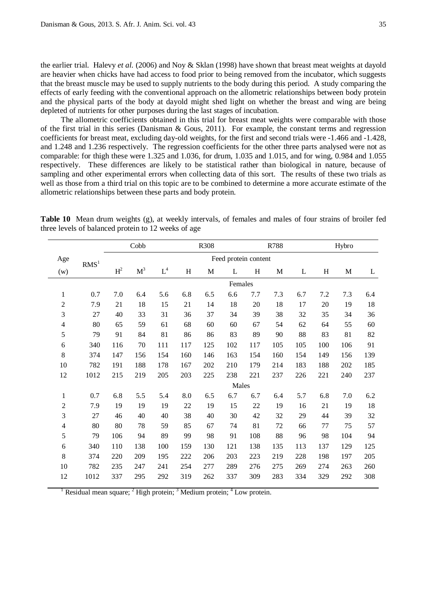the earlier trial. Halevy *et al.* (2006) and Noy & Sklan (1998) have shown that breast meat weights at dayold are heavier when chicks have had access to food prior to being removed from the incubator, which suggests that the breast muscle may be used to supply nutrients to the body during this period. A study comparing the effects of early feeding with the conventional approach on the allometric relationships between body protein and the physical parts of the body at dayold might shed light on whether the breast and wing are being depleted of nutrients for other purposes during the last stages of incubation.

The allometric coefficients obtained in this trial for breast meat weights were comparable with those of the first trial in this series (Danisman & Gous, 2011). For example, the constant terms and regression coefficients for breast meat, excluding day-old weights, for the first and second trials were -1.466 and -1.428, and 1.248 and 1.236 respectively. The regression coefficients for the other three parts analysed were not as comparable: for thigh these were 1.325 and 1.036, for drum, 1.035 and 1.015, and for wing, 0.984 and 1.055 respectively. These differences are likely to be statistical rather than biological in nature, because of sampling and other experimental errors when collecting data of this sort. The results of these two trials as well as those from a third trial on this topic are to be combined to determine a more accurate estimate of the allometric relationships between these parts and body protein.

|                |                  |       | Cobb           |                      |     | R308 | R788                 |     |     |     |     | Hybro |     |  |
|----------------|------------------|-------|----------------|----------------------|-----|------|----------------------|-----|-----|-----|-----|-------|-----|--|
| Age            | RMS <sup>1</sup> |       |                |                      |     |      | Feed protein content |     |     |     |     |       |     |  |
| (w)            |                  | $H^2$ | $\mathbf{M}^3$ | $\operatorname{L}^4$ | H   | M    | L                    | H   | M   | L   | H   | M     | L   |  |
|                |                  |       |                |                      |     |      | Females              |     |     |     |     |       |     |  |
| $\mathbf{1}$   | 0.7              | 7.0   | 6.4            | 5.6                  | 6.8 | 6.5  | 6.6                  | 7.7 | 7.3 | 6.7 | 7.2 | 7.3   | 6.4 |  |
| $\overline{c}$ | 7.9              | 21    | 18             | 15                   | 21  | 14   | 18                   | 20  | 18  | 17  | 20  | 19    | 18  |  |
| 3              | 27               | 40    | 33             | 31                   | 36  | 37   | 34                   | 39  | 38  | 32  | 35  | 34    | 36  |  |
| 4              | 80               | 65    | 59             | 61                   | 68  | 60   | 60                   | 67  | 54  | 62  | 64  | 55    | 60  |  |
| 5              | 79               | 91    | 84             | 81                   | 86  | 86   | 83                   | 89  | 90  | 88  | 83  | 81    | 82  |  |
| $\sqrt{6}$     | 340              | 116   | 70             | 111                  | 117 | 125  | 102                  | 117 | 105 | 105 | 100 | 106   | 91  |  |
| $8\,$          | 374              | 147   | 156            | 154                  | 160 | 146  | 163                  | 154 | 160 | 154 | 149 | 156   | 139 |  |
| 10             | 782              | 191   | 188            | 178                  | 167 | 202  | 210                  | 179 | 214 | 183 | 188 | 202   | 185 |  |
| 12             | 1012             | 215   | 219            | 205                  | 203 | 225  | 238                  | 221 | 237 | 226 | 221 | 240   | 237 |  |
|                |                  |       |                |                      |     |      | Males                |     |     |     |     |       |     |  |
| $\mathbf{1}$   | 0.7              | 6.8   | 5.5            | 5.4                  | 8.0 | 6.5  | 6.7                  | 6.7 | 6.4 | 5.7 | 6.8 | 7.0   | 6.2 |  |
| $\sqrt{2}$     | 7.9              | 19    | 19             | 19                   | 22  | 19   | 15                   | 22  | 19  | 16  | 21  | 19    | 18  |  |
| $\mathfrak{Z}$ | 27               | 46    | 40             | 40                   | 38  | 40   | 30                   | 42  | 32  | 29  | 44  | 39    | 32  |  |
| $\overline{4}$ | 80               | 80    | 78             | 59                   | 85  | 67   | 74                   | 81  | 72  | 66  | 77  | 75    | 57  |  |
| 5              | 79               | 106   | 94             | 89                   | 99  | 98   | 91                   | 108 | 88  | 96  | 98  | 104   | 94  |  |
| 6              | 340              | 110   | 138            | 100                  | 159 | 130  | 121                  | 138 | 135 | 113 | 137 | 129   | 125 |  |
| 8              | 374              | 220   | 209            | 195                  | 222 | 206  | 203                  | 223 | 219 | 228 | 198 | 197   | 205 |  |
| 10             | 782              | 235   | 247            | 241                  | 254 | 277  | 289                  | 276 | 275 | 269 | 274 | 263   | 260 |  |
| 12             | 1012             | 337   | 295            | 292                  | 319 | 262  | 337                  | 309 | 283 | 334 | 329 | 292   | 308 |  |

**Table 10** Mean drum weights (g), at weekly intervals, of females and males of four strains of broiler fed three levels of balanced protein to 12 weeks of age

Residual mean square;  $2$  High protein;  $3$  Medium protein;  $4$  Low protein.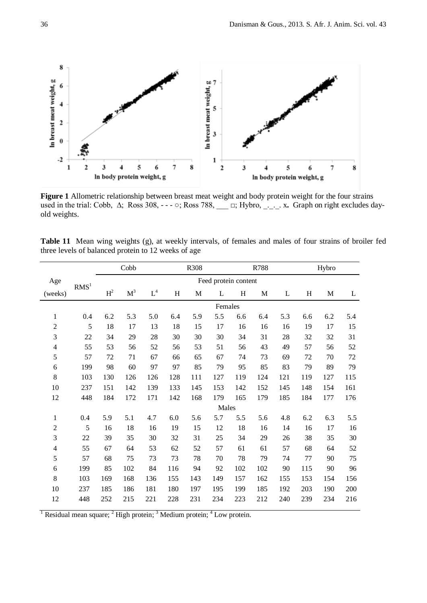

**Figure 1** Allometric relationship between breast meat weight and body protein weight for the four strains used in the trial: Cobb, Δ; Ross 308, - - - ○; Ross 788, \_\_\_ □; Hybro, \_<sub>\_\_\_</sub>\_\_. x. Graph on right excludes dayold weights.

| <b>Table 11</b> Mean wing weights (g), at weekly intervals, of females and males of four strains of broiler fed |  |  |  |  |  |  |  |
|-----------------------------------------------------------------------------------------------------------------|--|--|--|--|--|--|--|
| three levels of balanced protein to 12 weeks of age                                                             |  |  |  |  |  |  |  |

|                |                  | R308<br>Cobb   |                |       |     |     | R788                 |     |     |     |     | Hybro |     |  |
|----------------|------------------|----------------|----------------|-------|-----|-----|----------------------|-----|-----|-----|-----|-------|-----|--|
| Age            |                  |                |                |       |     |     | Feed protein content |     |     |     |     |       |     |  |
| (weeks)        | RMS <sup>1</sup> | H <sup>2</sup> | M <sup>3</sup> | $L^4$ | H   | M   | L                    | H   | M   | L   | H   | M     | L   |  |
|                |                  |                |                |       |     |     | Females              |     |     |     |     |       |     |  |
| 1              | 0.4              | 6.2            | 5.3            | 5.0   | 6.4 | 5.9 | 5.5                  | 6.6 | 6.4 | 5.3 | 6.6 | 6.2   | 5.4 |  |
| $\overline{2}$ | 5                | 18             | 17             | 13    | 18  | 15  | 17                   | 16  | 16  | 16  | 19  | 17    | 15  |  |
| 3              | 22               | 34             | 29             | 28    | 30  | 30  | 30                   | 34  | 31  | 28  | 32  | 32    | 31  |  |
| 4              | 55               | 53             | 56             | 52    | 56  | 53  | 51                   | 56  | 43  | 49  | 57  | 56    | 52  |  |
| 5              | 57               | 72             | 71             | 67    | 66  | 65  | 67                   | 74  | 73  | 69  | 72  | 70    | 72  |  |
| 6              | 199              | 98             | 60             | 97    | 97  | 85  | 79                   | 95  | 85  | 83  | 79  | 89    | 79  |  |
| 8              | 103              | 130            | 126            | 126   | 128 | 111 | 127                  | 119 | 124 | 121 | 119 | 127   | 115 |  |
| 10             | 237              | 151            | 142            | 139   | 133 | 145 | 153                  | 142 | 152 | 145 | 148 | 154   | 161 |  |
| 12             | 448              | 184            | 172            | 171   | 142 | 168 | 179                  | 165 | 179 | 185 | 184 | 177   | 176 |  |
|                |                  |                |                |       |     |     | Males                |     |     |     |     |       |     |  |
| $\mathbf{1}$   | 0.4              | 5.9            | 5.1            | 4.7   | 6.0 | 5.6 | 5.7                  | 5.5 | 5.6 | 4.8 | 6.2 | 6.3   | 5.5 |  |
| $\overline{2}$ | 5                | 16             | 18             | 16    | 19  | 15  | 12                   | 18  | 16  | 14  | 16  | 17    | 16  |  |
| 3              | 22               | 39             | 35             | 30    | 32  | 31  | 25                   | 34  | 29  | 26  | 38  | 35    | 30  |  |
| $\overline{4}$ | 55               | 67             | 64             | 53    | 62  | 52  | 57                   | 61  | 61  | 57  | 68  | 64    | 52  |  |
| 5              | 57               | 68             | 75             | 73    | 73  | 78  | 70                   | 78  | 79  | 74  | 77  | 90    | 75  |  |
| 6              | 199              | 85             | 102            | 84    | 116 | 94  | 92                   | 102 | 102 | 90  | 115 | 90    | 96  |  |
| 8              | 103              | 169            | 168            | 136   | 155 | 143 | 149                  | 157 | 162 | 155 | 153 | 154   | 156 |  |
| 10             | 237              | 185            | 186            | 181   | 180 | 197 | 195                  | 199 | 185 | 192 | 203 | 190   | 200 |  |
| 12             | 448              | 252            | 215            | 221   | 228 | 231 | 234                  | 223 | 212 | 240 | 239 | 234   | 216 |  |

<sup>1</sup> Residual mean square; <sup>2</sup> High protein; <sup>3</sup> Medium protein; <sup>4</sup> Low protein.